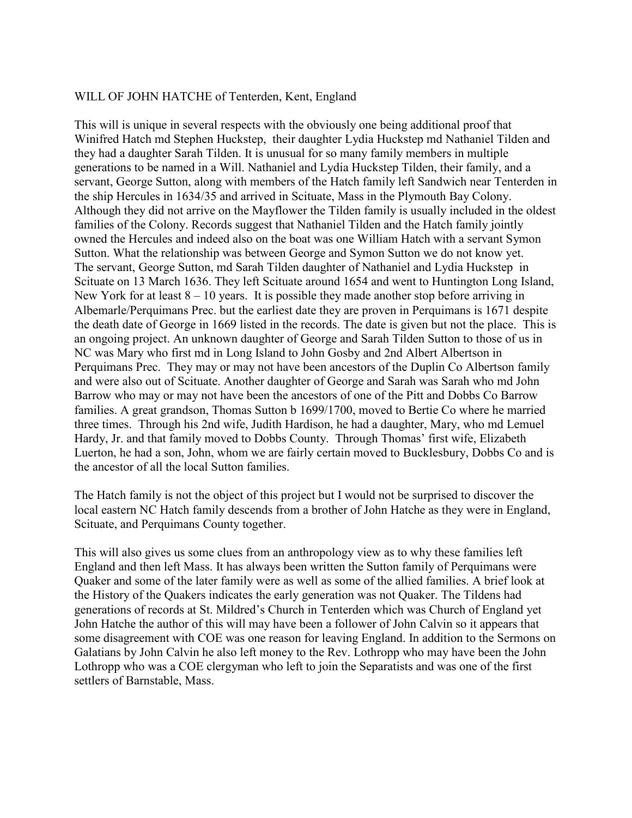## WILL OF JOHN HATCHE of Tenterden, Kent, England

This will is unique in several respects with the obviously one being additional proof that Winifred Hatch md Stephen Huckstep, their daughter Lydia Huckstep md Nathaniel Tilden and they had a daughter Sarah Tilden. It is unusual for so many family members in multiple generations to be named in a Will. Nathaniel and Lydia Huckstep Tilden, their family, and a servant, George Sutton, along with members of the Hatch family left Sandwich near Tenterden in the ship Hercules in 1634/35 and arrived in Scituate, Mass in the Plymouth Bay Colony. Although they did not arrive on the Mayflower the Tilden family is usually included in the oldest families of the Colony. Records suggest that Nathaniel Tilden and the Hatch family jointly owned the Hercules and indeed also on the boat was one William Hatch with a servant Symon Sutton. What the relationship was between George and Symon Sutton we do not know yet. The servant, George Sutton, md Sarah Tilden daughter of Nathaniel and Lydia Huckstep in Scituate on 13 March 1636. They left Scituate around 1654 and went to Huntington Long Island, New York for at least  $8 - 10$  years. It is possible they made another stop before arriving in Albemarle/Perquimans Prec. but the earliest date they are proven in Perquimans is 1671 despite the death date of George in 1669 listed in the records. The date is given but not the place. This is an ongoing project. An unknown daughter of George and Sarah Tilden Sutton to those of us in NC was Mary who first md in Long Island to John Gosby and 2nd Albert Albertson in Perquimans Prec. They may or may not have been ancestors of the Duplin Co Albertson family and were also out of Scituate. Another daughter of George and Sarah was Sarah who md John Barrow who may or may not have been the ancestors of one of the Pitt and Dobbs Co Barrow families. A great grandson, Thomas Sutton b 1699/1700, moved to Bertie Co where he married three times. Through his 2nd wife, Judith Hardison, he had a daughter, Mary, who md Lemuel Hardy, Jr. and that family moved to Dobbs County. Through Thomas' first wife, Elizabeth Luerton, he had a son, John, whom we are fairly certain moved to Bucklesbury, Dobbs Co and is the ancestor of all the local Sutton families.

The Hatch family is not the object of this project but I would not be surprised to discover the local eastern NC Hatch family descends from a brother of John Hatche as they were in England, Scituate, and Perquimans County together.

This will also gives us some clues from an anthropology view as to why these families left England and then left Mass. It has always been written the Sutton family of Perquimans were Quaker and some of the later family were as well as some of the allied families. A brief look at the History of the Quakers indicates the early generation was not Quaker. The Tildens had generations of records at St. Mildred's Church in Tenterden which was Church of England yet John Hatche the author of this will may have been a follower of John Calvin so it appears that some disagreement with COE was one reason for leaving England. In addition to the Sermons on Galatians by John Calvin he also left money to the Rev. Lothropp who may have been the John Lothropp who was a COE clergyman who left to join the Separatists and was one of the first settlers of Barnstable, Mass.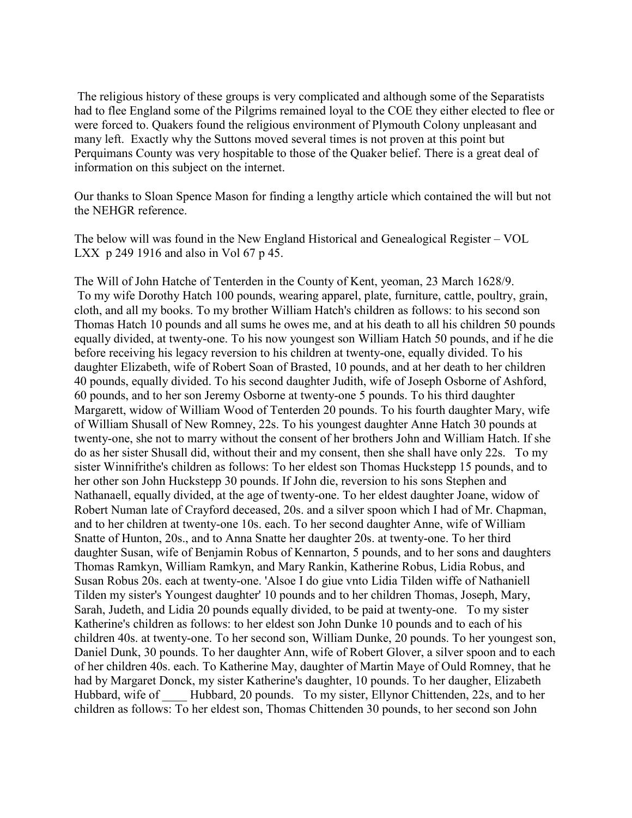The religious history of these groups is very complicated and although some of the Separatists had to flee England some of the Pilgrims remained loyal to the COE they either elected to flee or were forced to. Quakers found the religious environment of Plymouth Colony unpleasant and many left. Exactly why the Suttons moved several times is not proven at this point but Perquimans County was very hospitable to those of the Quaker belief. There is a great deal of information on this subject on the internet.

Our thanks to Sloan Spence Mason for finding a lengthy article which contained the will but not the NEHGR reference.

The below will was found in the New England Historical and Genealogical Register – VOL LXX p 249 1916 and also in Vol 67 p 45.

The Will of John Hatche of Tenterden in the County of Kent, yeoman, 23 March 1628/9. To my wife Dorothy Hatch 100 pounds, wearing apparel, plate, furniture, cattle, poultry, grain, cloth, and all my books. To my brother William Hatch's children as follows: to his second son Thomas Hatch 10 pounds and all sums he owes me, and at his death to all his children 50 pounds equally divided, at twenty-one. To his now youngest son William Hatch 50 pounds, and if he die before receiving his legacy reversion to his children at twenty-one, equally divided. To his daughter Elizabeth, wife of Robert Soan of Brasted, 10 pounds, and at her death to her children 40 pounds, equally divided. To his second daughter Judith, wife of Joseph Osborne of Ashford, 60 pounds, and to her son Jeremy Osborne at twenty-one 5 pounds. To his third daughter Margarett, widow of William Wood of Tenterden 20 pounds. To his fourth daughter Mary, wife of William Shusall of New Romney, 22s. To his youngest daughter Anne Hatch 30 pounds at twenty-one, she not to marry without the consent of her brothers John and William Hatch. If she do as her sister Shusall did, without their and my consent, then she shall have only 22s. To my sister Winnifrithe's children as follows: To her eldest son Thomas Huckstepp 15 pounds, and to her other son John Huckstepp 30 pounds. If John die, reversion to his sons Stephen and Nathanaell, equally divided, at the age of twenty-one. To her eldest daughter Joane, widow of Robert Numan late of Crayford deceased, 20s. and a silver spoon which I had of Mr. Chapman, and to her children at twenty-one 10s. each. To her second daughter Anne, wife of William Snatte of Hunton, 20s., and to Anna Snatte her daughter 20s. at twenty-one. To her third daughter Susan, wife of Benjamin Robus of Kennarton, 5 pounds, and to her sons and daughters Thomas Ramkyn, William Ramkyn, and Mary Rankin, Katherine Robus, Lidia Robus, and Susan Robus 20s. each at twenty-one. 'Alsoe I do giue vnto Lidia Tilden wiffe of Nathaniell Tilden my sister's Youngest daughter' 10 pounds and to her children Thomas, Joseph, Mary, Sarah, Judeth, and Lidia 20 pounds equally divided, to be paid at twenty-one. To my sister Katherine's children as follows: to her eldest son John Dunke 10 pounds and to each of his children 40s. at twenty-one. To her second son, William Dunke, 20 pounds. To her youngest son, Daniel Dunk, 30 pounds. To her daughter Ann, wife of Robert Glover, a silver spoon and to each of her children 40s. each. To Katherine May, daughter of Martin Maye of Ould Romney, that he had by Margaret Donck, my sister Katherine's daughter, 10 pounds. To her daugher, Elizabeth Hubbard, wife of Hubbard, 20 pounds. To my sister, Ellynor Chittenden, 22s, and to her children as follows: To her eldest son, Thomas Chittenden 30 pounds, to her second son John